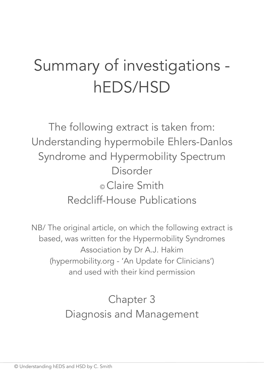# Summary of investigations hEDS/HSD

The following extract is taken from: Understanding hypermobile Ehlers-Danlos Syndrome and Hypermobility Spectrum Disorder © Claire Smith Redcliff-House Publications

NB/ The original article, on which the following extract is based, was written for the Hypermobility Syndromes Association by Dr A.J. Hakim (hypermobility.org - 'An Update for Clinicians') and used with their kind permission

> Chapter 3 Diagnosis and Management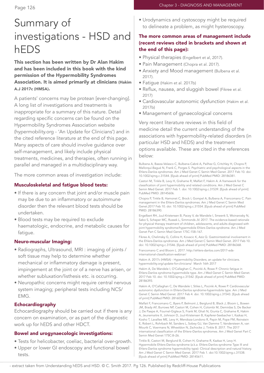# Summary of investigations - HSD and hEDS

This section has been written by Dr Alan Hakim and has been included in this book with the kind permission of the Hypermobility Syndromes Association. It is aimed primarily at clinicians (Hakim A.J 2017c (HMSA).

A patients' concerns may be protean [ever-changing]. A long list of investigations and treatments is inappropriate for a summary of this nature. Detail regarding specific concerns can be found on the Hypermobility Syndromes Association website (hypermobility.org - 'An Update for Clinicians') and in the cited reference literature at the end of this page. Many aspects of care should involve guidance over self-management, and likely include physical treatments, medicines, and therapies, often running in parallel and managed in a multidisciplinary way.

The more common areas of investigation include:

### Musculoskeletal and fatigue blood tests:

- If there is any concern that joint and/or muscle pain may be due to an inflammatory or autoimmune disorder then the relevant blood tests should be undertaken.
- Blood tests may be required to exclude haematologic, endocrine, and metabolic causes for fatigue.

### Neuro-muscular Imaging:

- Radiographs, Ultrasound, MRI : imaging of joints / soft tissue may help to determine whether mechanical or inflammatory damage is present, impingement at the joint or of a nerve has arisen, or whether subluxation/listhesis etc. is occurring.
- Neuropathic concerns might require central nervous system imaging; peripheral tests including NCS/ EMG.

### Echocardiography

Echocardiography should be carried out if there is any concern on examination, or as part of the diagnostic work up for hEDS and other HDCT.

### Bowel and urogynaecologic investigations:

- Tests for helicobacter, coeliac, bacterial over-growth.
- Upper or lower GI endoscopy and functional bowel tests.

• Urodynamics and cystoscopy might be required to delineate a problem, as might hysteroscopy.

## The more common areas of management include (recent reviews cited in brackets and shown at the end of this page):

- Physical therapies (Engelbert et al, 2017).
- Pain Management (Chopra et al. 2017).
- Anxiety and Mood management (Bulbena et al. 2017).
- Fatigue (Hakim et al. 2017b)
- Reflux, nausea, and sluggish bowel (Fikree et al. 2017)
- Cardiovascular autonomic dysfunction (Hakim et al. 2017b)
- Management of gynaecological concerns

Very recent literature reviews in this field of medicine detail the current understanding of the associations with hypermobility-related disorders (in particular HSD and hEDS) and the treatment options available. These are cited in the references below:

Bulbena A, Baeza-Velasco C, Bulbena-Cabré A, Pailhez G, Critchley H, Chopra P, Mallorquí-Bagué N, Frank C, Porges S. Psychiatric and psychological aspects in the Ehlers-Danlos syndromes. Am J Med Genet C Semin Med Genet. 2017 Feb 10. doi: 10.1002/ajmg.c.31544. [Epub ahead of print] PubMed PMID: 28186381.

Castori M, Tinkle B, Levy H, Grahame R, Malfait F, Hakim A. A framework for the classification of joint hypermobility and related conditions. Am J Med Genet C Semin Med Genet. 2017 Feb 1. doi: 10.1002/ajmg.c.31539. [Epub ahead of print] PubMed PMID: 28145606.

Chopra P, Tinkle B, Hamonet C, Brock I, Gompel A, Bulbena A, Francomano C. Pain management in the Ehlers-Danlos syndromes. Am J Med Genet C Semin Med Genet.2017 Feb 10. doi: 10.1002/ajmg.c.31554. [Epub ahead of print] PubMed PMID: 28186390.

Engelbert RH, Juul-Kristensen B, Pacey V, de Wandele I, Smeenk S, Woinarosky N, Sabo S, Scheper MC, Russek L, Simmonds JV. 2017. The evidence-based rationale for physical therapy treatment of children, adolescents, and adults diagnosed with joint hypermobility syndrome/hypermobile Ehlers Danlos syndrome. Am J Med Genet Part C Semin Med Genet 175C:158–167.

Fikree A, Chelimsky G, Collins H, Kovacic K, Aziz Q. Gastrointestinal involvement in the Ehlers-Danlos syndromes. Am J Med Genet C Semin Med Genet. 2017 Feb 10. doi: 10.1002/ajmg.c.31546. [Epub ahead of print] PubMed PMID: 28186368.

Francomano C and Bloom L. 2017. http://ehlers-danlos.com/2017-edsinternational-classification-webinar/

Hakim A. 2017c (HMSA) - Hypermobility Disorders; an update for clinicians. hypermobility.org/update-for-clinicians/ March 16th 2017

Hakim A, De Wandele I, O'Callaghan C, Pocinki A, Rowe P. Chronic fatigue in Ehlers-Danlos syndrome-hypermobile type. Am J Med Genet C Semin Med Genet. 2017 Feb 10. doi: 10.1002/ajmg.c.31542. [Epub ahead of print] PubMed PMID: 28186393.

Hakim A, O'Callaghan C, De Wandele I, Stiles L, Pocinki A, Rowe P. Cardiovascular autonomic dysfunction in Ehlers-Danlos syndrome-hypermobile type. Am J Med Genet C Semin Med Genet. 2017 Feb 4. doi: 10.1002/ajmg.c.31543. [Epub ahead of print] PubMed PMID: 28160388.

Malfait F, Francomano C, Byers P, Belmont J, Berglund B, Black J, Bloom L, Bowen JM, Brady AF, Burrows NP, Castori M, Cohen H, Colombi M, Demirdas S, De Backer J, De Paepe A, Fournel-Gigleux S, Frank M, Ghali N, Giunta C, Grahame R, Hakim A, Jeunemaitre X, Johnson D, Juul-Kristensen B, Kapferer-Seebacher I, Kazkaz H, Kosho T, Lavallee ME, Levy H, Mendoza-Londono R, Pepin M, Pope FM, Reinstein E, Robert L, Rohrbach M, Sanders L, Sobey GJ, Van Damme T, Vandersteen A, van Mourik C, Voermans N, Wheeldon N, Zschocke J, Tinkle B. 2017. The 2017 international classification of the Ehlers–Danlos syndromes. Am J Med Genet Part C Semin Med Genet 175C:8–26.

Tinkle B, Castori M, Berglund B, Cohen H, Grahame R, Kazkaz H, Levy H. Hypermobile Ehlers-Danlos syndrome (a.k.a. Ehlers-Danlos syndrome Type III and Ehlers-Danlos syndrome hypermobility type): Clinical description and natural history. Am J Med Genet C Semin Med Genet. 2017 Feb 1. doi:10.1002/ajmg.c.31538. [Epub ahead of print] PubMed PMID: 28145611.